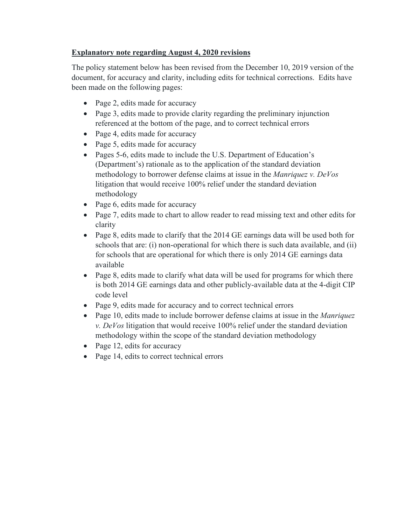# **Explanatory note regarding August 4, 2020 revisions**

The policy statement below has been revised from the December 10, 2019 version of the document, for accuracy and clarity, including edits for technical corrections. Edits have been made on the following pages:

- Page 2, edits made for accuracy
- Page 3, edits made to provide clarity regarding the preliminary injunction referenced at the bottom of the page, and to correct technical errors
- Page 4, edits made for accuracy
- Page 5, edits made for accuracy
- Pages 5-6, edits made to include the U.S. Department of Education's (Department's) rationale as to the application of the standard deviation methodology to borrower defense claims at issue in the *Manriquez v. DeVos* litigation that would receive 100% relief under the standard deviation methodology
- Page 6, edits made for accuracy
- Page 7, edits made to chart to allow reader to read missing text and other edits for clarity
- Page 8, edits made to clarify that the 2014 GE earnings data will be used both for schools that are: (i) non-operational for which there is such data available, and (ii) for schools that are operational for which there is only 2014 GE earnings data available
- Page 8, edits made to clarify what data will be used for programs for which there is both 2014 GE earnings data and other publicly-available data at the 4-digit CIP code level
- Page 9, edits made for accuracy and to correct technical errors
- Page 10, edits made to include borrower defense claims at issue in the *Manriquez v. DeVos* litigation that would receive 100% relief under the standard deviation methodology within the scope of the standard deviation methodology
- Page 12, edits for accuracy
- Page 14, edits to correct technical errors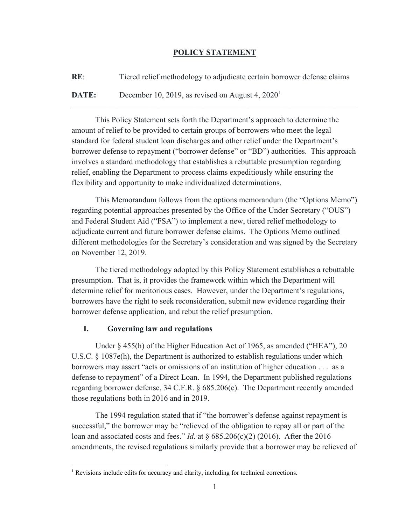### **POLICY STATEMENT**

**RE**: Tiered relief methodology to adjudicate certain borrower defense claims

 $\mathcal{L}_\mathcal{L} = \{ \mathcal{L}_\mathcal{L} = \{ \mathcal{L}_\mathcal{L} = \{ \mathcal{L}_\mathcal{L} = \{ \mathcal{L}_\mathcal{L} = \{ \mathcal{L}_\mathcal{L} = \{ \mathcal{L}_\mathcal{L} = \{ \mathcal{L}_\mathcal{L} = \{ \mathcal{L}_\mathcal{L} = \{ \mathcal{L}_\mathcal{L} = \{ \mathcal{L}_\mathcal{L} = \{ \mathcal{L}_\mathcal{L} = \{ \mathcal{L}_\mathcal{L} = \{ \mathcal{L}_\mathcal{L} = \{ \mathcal{L}_\mathcal{$ 

**DATE:** December [1](#page-1-0)0, 2019, as revised on August 4, 2020<sup>1</sup>

This Policy Statement sets forth the Department's approach to determine the amount of relief to be provided to certain groups of borrowers who meet the legal standard for federal student loan discharges and other relief under the Department's borrower defense to repayment ("borrower defense" or "BD") authorities. This approach involves a standard methodology that establishes a rebuttable presumption regarding relief, enabling the Department to process claims expeditiously while ensuring the flexibility and opportunity to make individualized determinations.

This Memorandum follows from the options memorandum (the "Options Memo") regarding potential approaches presented by the Office of the Under Secretary ("OUS") and Federal Student Aid ("FSA") to implement a new, tiered relief methodology to adjudicate current and future borrower defense claims. The Options Memo outlined different methodologies for the Secretary's consideration and was signed by the Secretary on November 12, 2019.

The tiered methodology adopted by this Policy Statement establishes a rebuttable presumption. That is, it provides the framework within which the Department will determine relief for meritorious cases. However, under the Department's regulations, borrowers have the right to seek reconsideration, submit new evidence regarding their borrower defense application, and rebut the relief presumption.

## **I. Governing law and regulations**

Under § 455(h) of the Higher Education Act of 1965, as amended ("HEA"), 20 U.S.C. § 1087e(h), the Department is authorized to establish regulations under which borrowers may assert "acts or omissions of an institution of higher education . . . as a defense to repayment" of a Direct Loan. In 1994, the Department published regulations regarding borrower defense, 34 C.F.R. § 685.206(c). The Department recently amended those regulations both in 2016 and in 2019.

The 1994 regulation stated that if "the borrower's defense against repayment is successful," the borrower may be "relieved of the obligation to repay all or part of the loan and associated costs and fees." *Id*. at § 685.206(c)(2) (2016). After the 2016 amendments, the revised regulations similarly provide that a borrower may be relieved of

<span id="page-1-0"></span><sup>&</sup>lt;sup>1</sup> Revisions include edits for accuracy and clarity, including for technical corrections.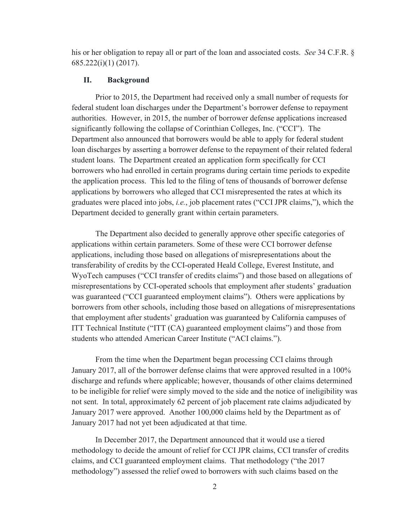his or her obligation to repay all or part of the loan and associated costs. *See* 34 C.F.R. § 685.222(i)(1) (2017).

#### **II. Background**

Prior to 2015, the Department had received only a small number of requests for federal student loan discharges under the Department's borrower defense to repayment authorities. However, in 2015, the number of borrower defense applications increased significantly following the collapse of Corinthian Colleges, Inc. ("CCI"). The Department also announced that borrowers would be able to apply for federal student loan discharges by asserting a borrower defense to the repayment of their related federal student loans. The Department created an application form specifically for CCI borrowers who had enrolled in certain programs during certain time periods to expedite the application process. This led to the filing of tens of thousands of borrower defense applications by borrowers who alleged that CCI misrepresented the rates at which its graduates were placed into jobs, *i.e.*, job placement rates ("CCI JPR claims,"), which the Department decided to generally grant within certain parameters.

The Department also decided to generally approve other specific categories of applications within certain parameters. Some of these were CCI borrower defense applications, including those based on allegations of misrepresentations about the transferability of credits by the CCI-operated Heald College, Everest Institute, and WyoTech campuses ("CCI transfer of credits claims") and those based on allegations of misrepresentations by CCI-operated schools that employment after students' graduation was guaranteed ("CCI guaranteed employment claims"). Others were applications by borrowers from other schools, including those based on allegations of misrepresentations that employment after students' graduation was guaranteed by California campuses of ITT Technical Institute ("ITT (CA) guaranteed employment claims") and those from students who attended American Career Institute ("ACI claims.").

From the time when the Department began processing CCI claims through January 2017, all of the borrower defense claims that were approved resulted in a 100% discharge and refunds where applicable; however, thousands of other claims determined to be ineligible for relief were simply moved to the side and the notice of ineligibility was not sent. In total, approximately 62 percent of job placement rate claims adjudicated by January 2017 were approved. Another 100,000 claims held by the Department as of January 2017 had not yet been adjudicated at that time.

In December 2017, the Department announced that it would use a tiered methodology to decide the amount of relief for CCI JPR claims, CCI transfer of credits claims, and CCI guaranteed employment claims. That methodology ("the 2017 methodology") assessed the relief owed to borrowers with such claims based on the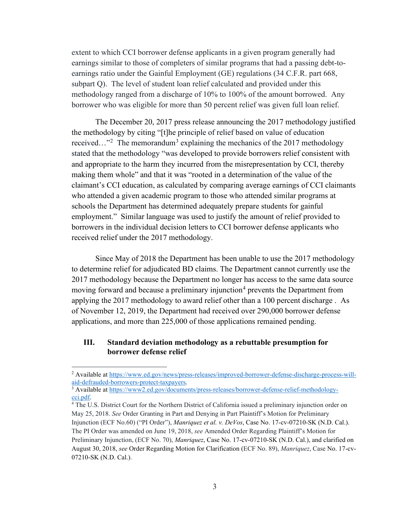extent to which CCI borrower defense applicants in a given program generally had earnings similar to those of completers of similar programs that had a passing debt-toearnings ratio under the Gainful Employment (GE) regulations (34 C.F.R. part 668, subpart Q). The level of student loan relief calculated and provided under this methodology ranged from a discharge of 10% to 100% of the amount borrowed. Any borrower who was eligible for more than 50 percent relief was given full loan relief.

The December 20, 2017 press release announcing the 2017 methodology justified the methodology by citing "[t]he principle of relief based on value of education received..."<sup>[2](#page-3-0)</sup> The memorandum<sup>[3](#page-3-1)</sup> explaining the mechanics of the 2017 methodology stated that the methodology "was developed to provide borrowers relief consistent with and appropriate to the harm they incurred from the misrepresentation by CCI, thereby making them whole" and that it was "rooted in a determination of the value of the claimant's CCI education, as calculated by comparing average earnings of CCI claimants who attended a given academic program to those who attended similar programs at schools the Department has determined adequately prepare students for gainful employment." Similar language was used to justify the amount of relief provided to borrowers in the individual decision letters to CCI borrower defense applicants who received relief under the 2017 methodology.

Since May of 2018 the Department has been unable to use the 2017 methodology to determine relief for adjudicated BD claims. The Department cannot currently use the 2017 methodology because the Department no longer has access to the same data source moving forward and because a preliminary injunction<sup>[4](#page-3-2)</sup> prevents the Department from applying the 2017 methodology to award relief other than a 100 percent discharge . As of November 12, 2019, the Department had received over 290,000 borrower defense applications, and more than 225,000 of those applications remained pending.

### **III. Standard deviation methodology as a rebuttable presumption for borrower defense relief**

<span id="page-3-0"></span><sup>&</sup>lt;sup>2</sup> Available at https://www.ed.gov/news/press-releases/improved-borrower-defense-discharge-process-will-aid-defrauded-borrowers-protect-taxpayers.

<span id="page-3-1"></span><sup>&</sup>lt;sup>3</sup> Available at [https://www2.ed.gov/documents/press-releases/borrower-defense-relief-methodology](https://www2.ed.gov/documents/press-releases/borrower-defense-relief-methodology-cci.pdf)[cci.pdf.](https://www2.ed.gov/documents/press-releases/borrower-defense-relief-methodology-cci.pdf)<br><sup>4</sup> The U.S. District Court for the Northern District of California issued a preliminary injunction order on

<span id="page-3-2"></span>May 25, 2018. *See* Order Granting in Part and Denying in Part Plaintiff's Motion for Preliminary Injunction (ECF No.60) ("PI Order"), *Manriquez et al. v. DeVos*, Case No. 17-cv-07210-SK (N.D. Cal.). The PI Order was amended on June 19, 2018, *see* Amended Order Regarding Plaintiff's Motion for Preliminary Injunction, (ECF No. 70), *Manriquez*, Case No. 17-cv-07210-SK (N.D. Cal.), and clarified on August 30, 2018, *see* Order Regarding Motion for Clarification (ECF No. 89), *Manriquez*, Case No. 17-cv-07210-SK (N.D. Cal.).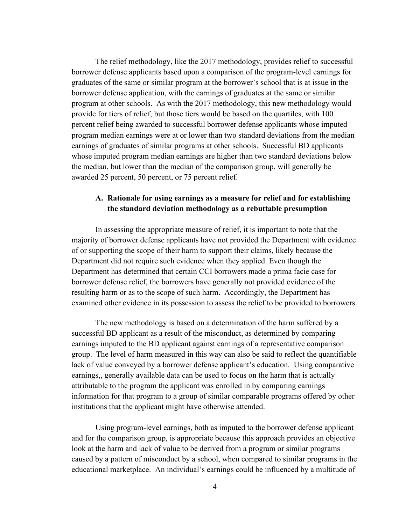The relief methodology, like the 2017 methodology, provides relief to successful borrower defense applicants based upon a comparison of the program-level earnings for graduates of the same or similar program at the borrower's school that is at issue in the borrower defense application, with the earnings of graduates at the same or similar program at other schools. As with the 2017 methodology, this new methodology would provide for tiers of relief, but those tiers would be based on the quartiles, with 100 percent relief being awarded to successful borrower defense applicants whose imputed program median earnings were at or lower than two standard deviations from the median earnings of graduates of similar programs at other schools. Successful BD applicants whose imputed program median earnings are higher than two standard deviations below the median, but lower than the median of the comparison group, will generally be awarded 25 percent, 50 percent, or 75 percent relief.

## **A. Rationale for using earnings as a measure for relief and for establishing the standard deviation methodology as a rebuttable presumption**

In assessing the appropriate measure of relief, it is important to note that the majority of borrower defense applicants have not provided the Department with evidence of or supporting the scope of their harm to support their claims, likely because the Department did not require such evidence when they applied. Even though the Department has determined that certain CCI borrowers made a prima facie case for borrower defense relief, the borrowers have generally not provided evidence of the resulting harm or as to the scope of such harm. Accordingly, the Department has examined other evidence in its possession to assess the relief to be provided to borrowers.

The new methodology is based on a determination of the harm suffered by a successful BD applicant as a result of the misconduct, as determined by comparing earnings imputed to the BD applicant against earnings of a representative comparison group. The level of harm measured in this way can also be said to reflect the quantifiable lack of value conveyed by a borrower defense applicant's education. Using comparative earnings,, generally available data can be used to focus on the harm that is actually attributable to the program the applicant was enrolled in by comparing earnings information for that program to a group of similar comparable programs offered by other institutions that the applicant might have otherwise attended.

Using program-level earnings, both as imputed to the borrower defense applicant and for the comparison group, is appropriate because this approach provides an objective look at the harm and lack of value to be derived from a program or similar programs caused by a pattern of misconduct by a school, when compared to similar programs in the educational marketplace. An individual's earnings could be influenced by a multitude of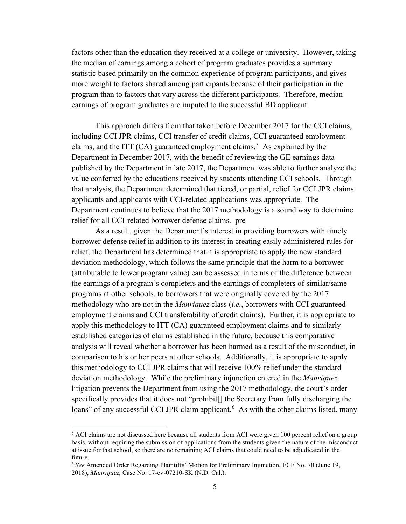factors other than the education they received at a college or university. However, taking the median of earnings among a cohort of program graduates provides a summary statistic based primarily on the common experience of program participants, and gives more weight to factors shared among participants because of their participation in the program than to factors that vary across the different participants. Therefore, median earnings of program graduates are imputed to the successful BD applicant.

This approach differs from that taken before December 2017 for the CCI claims, including CCI JPR claims, CCI transfer of credit claims, CCI guaranteed employment claims, and the ITT  $(CA)$  guaranteed employment claims.<sup>[5](#page-5-0)</sup> As explained by the Department in December 2017, with the benefit of reviewing the GE earnings data published by the Department in late 2017, the Department was able to further analyze the value conferred by the educations received by students attending CCI schools. Through that analysis, the Department determined that tiered, or partial, relief for CCI JPR claims applicants and applicants with CCI-related applications was appropriate. The Department continues to believe that the 2017 methodology is a sound way to determine relief for all CCI-related borrower defense claims. pre

As a result, given the Department's interest in providing borrowers with timely borrower defense relief in addition to its interest in creating easily administered rules for relief, the Department has determined that it is appropriate to apply the new standard deviation methodology, which follows the same principle that the harm to a borrower (attributable to lower program value) can be assessed in terms of the difference between the earnings of a program's completers and the earnings of completers of similar/same programs at other schools, to borrowers that were originally covered by the 2017 methodology who are not in the *Manriquez* class (*i.e.*, borrowers with CCI guaranteed employment claims and CCI transferability of credit claims). Further, it is appropriate to apply this methodology to ITT (CA) guaranteed employment claims and to similarly established categories of claims established in the future, because this comparative analysis will reveal whether a borrower has been harmed as a result of the misconduct, in comparison to his or her peers at other schools. Additionally, it is appropriate to apply this methodology to CCI JPR claims that will receive 100% relief under the standard deviation methodology. While the preliminary injunction entered in the *Manriquez*  litigation prevents the Department from using the 2017 methodology, the court's order specifically provides that it does not "prohibit[] the Secretary from fully discharging the loans" of any successful CCI JPR claim applicant.<sup>[6](#page-5-1)</sup> As with the other claims listed, many

<span id="page-5-0"></span> $5$  ACI claims are not discussed here because all students from ACI were given 100 percent relief on a group basis, without requiring the submission of applications from the students given the nature of the misconduct at issue for that school, so there are no remaining ACI claims that could need to be adjudicated in the future.

<span id="page-5-1"></span><sup>6</sup> *See* Amended Order Regarding Plaintiffs' Motion for Preliminary Injunction, ECF No. 70 (June 19, 2018), *Manriquez*, Case No. 17-cv-07210-SK (N.D. Cal.).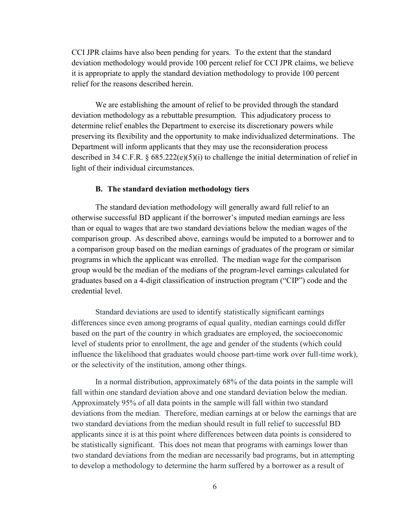CCI JPR claims have also been pending for years. To the extent that the standard deviation methodology would provide 100 percent relief for CCI JPR claims, we believe it is appropriate to apply the standard deviation methodology to provide 100 percent relief for the reasons described herein.

We are establishing the amount of relief to be provided through the standard deviation methodology as a rebuttable presumption. This adjudicatory process to determine relief enables the Department to exercise its discretionary powers while preserving its flexibility and the opportunity to make individualized determinations. The Department will inform applicants that they may use the reconsideration process described in 34 C.F.R. § 685.222(e)(5)(i) to challenge the initial determination of relief in light of their individual circumstances.

#### **B. The standard deviation methodology tiers**

The standard deviation methodology will generally award full relief to an otherwise successful BD applicant if the borrower's imputed median earnings are less than or equal to wages that are two standard deviations below the median wages of the comparison group. As described above, earnings would be imputed to a borrower and to a comparison group based on the median earnings of graduates of the program or similar programs in which the applicant was enrolled. The median wage for the comparison group would be the median of the medians of the program-level earnings calculated for graduates based on a 4-digit classification of instruction program ("CIP") code and the credential level.

Standard deviations are used to identify statistically significant earnings differences since even among programs of equal quality, median earnings could differ based on the part of the country in which graduates are employed, the socioeconomic level of students prior to enrollment, the age and gender of the students (which could influence the likelihood that graduates would choose part-time work over full-time work), or the selectivity of the institution, among other things.

In a normal distribution, approximately 68% of the data points in the sample will fall within one standard deviation above and one standard deviation below the median. Approximately 95% of all data points in the sample will fall within two standard deviations from the median. Therefore, median earnings at or below the earnings that are two standard deviations from the median should result in full relief to successful BD applicants since it is at this point where differences between data points is considered to be statistically significant. This does not mean that programs with earnings lower than two standard deviations from the median are necessarily bad programs, but in attempting to develop a methodology to determine the harm suffered by a borrower as a result of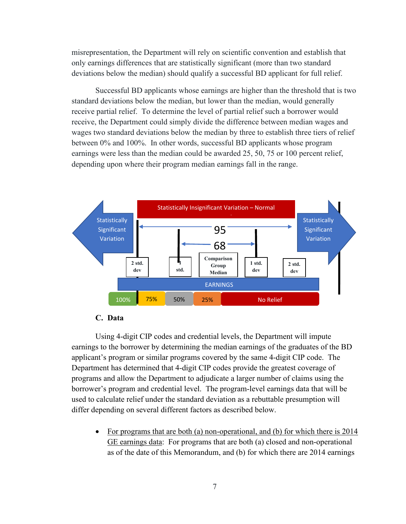misrepresentation, the Department will rely on scientific convention and establish that only earnings differences that are statistically significant (more than two standard deviations below the median) should qualify a successful BD applicant for full relief.

Successful BD applicants whose earnings are higher than the threshold that is two standard deviations below the median, but lower than the median, would generally receive partial relief. To determine the level of partial relief such a borrower would receive, the Department could simply divide the difference between median wages and wages two standard deviations below the median by three to establish three tiers of relief between 0% and 100%. In other words, successful BD applicants whose program earnings were less than the median could be awarded 25, 50, 75 or 100 percent relief, depending upon where their program median earnings fall in the range.





Using 4-digit CIP codes and credential levels, the Department will impute earnings to the borrower by determining the median earnings of the graduates of the BD applicant's program or similar programs covered by the same 4-digit CIP code. The Department has determined that 4-digit CIP codes provide the greatest coverage of programs and allow the Department to adjudicate a larger number of claims using the borrower's program and credential level. The program-level earnings data that will be used to calculate relief under the standard deviation as a rebuttable presumption will differ depending on several different factors as described below.

• For programs that are both (a) non-operational, and (b) for which there is 2014 GE earnings data: For programs that are both (a) closed and non-operational as of the date of this Memorandum, and (b) for which there are 2014 earnings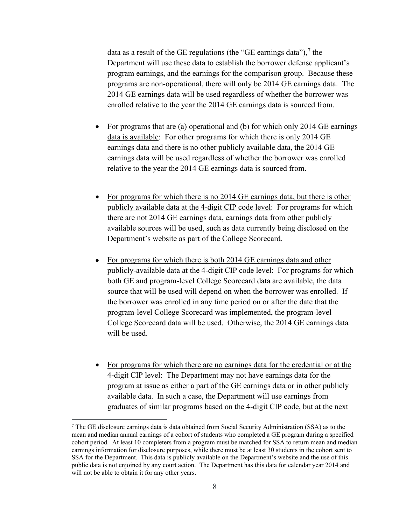data as a result of the GE regulations (the "GE earnings data"),  $\frac{7}{1}$  $\frac{7}{1}$  $\frac{7}{1}$  the Department will use these data to establish the borrower defense applicant's program earnings, and the earnings for the comparison group. Because these programs are non-operational, there will only be 2014 GE earnings data. The 2014 GE earnings data will be used regardless of whether the borrower was enrolled relative to the year the 2014 GE earnings data is sourced from.

- For programs that are (a) operational and (b) for which only 2014 GE earnings data is available: For other programs for which there is only 2014 GE earnings data and there is no other publicly available data, the 2014 GE earnings data will be used regardless of whether the borrower was enrolled relative to the year the 2014 GE earnings data is sourced from.
- For programs for which there is no 2014 GE earnings data, but there is other publicly available data at the 4-digit CIP code level: For programs for which there are not 2014 GE earnings data, earnings data from other publicly available sources will be used, such as data currently being disclosed on the Department's website as part of the College Scorecard.
- For programs for which there is both 2014 GE earnings data and other publicly-available data at the 4-digit CIP code level: For programs for which both GE and program-level College Scorecard data are available, the data source that will be used will depend on when the borrower was enrolled. If the borrower was enrolled in any time period on or after the date that the program-level College Scorecard was implemented, the program-level College Scorecard data will be used. Otherwise, the 2014 GE earnings data will be used.
- For programs for which there are no earnings data for the credential or at the 4-digit CIP level: The Department may not have earnings data for the program at issue as either a part of the GE earnings data or in other publicly available data. In such a case, the Department will use earnings from graduates of similar programs based on the 4-digit CIP code, but at the next

<span id="page-8-0"></span> $<sup>7</sup>$  The GE disclosure earnings data is data obtained from Social Security Administration (SSA) as to the</sup> mean and median annual earnings of a cohort of students who completed a GE program during a specified cohort period. At least 10 completers from a program must be matched for SSA to return mean and median earnings information for disclosure purposes, while there must be at least 30 students in the cohort sent to SSA for the Department. This data is publicly available on the Department's website and the use of this public data is not enjoined by any court action. The Department has this data for calendar year 2014 and will not be able to obtain it for any other years.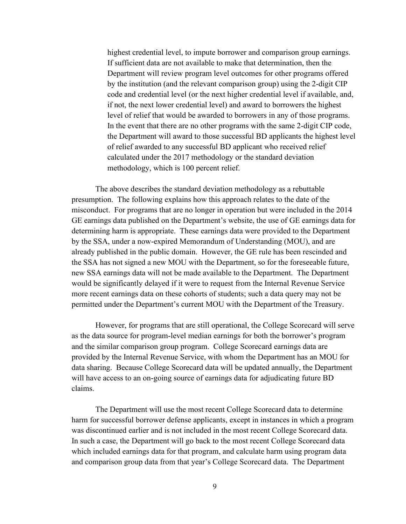highest credential level, to impute borrower and comparison group earnings. If sufficient data are not available to make that determination, then the Department will review program level outcomes for other programs offered by the institution (and the relevant comparison group) using the 2-digit CIP code and credential level (or the next higher credential level if available, and, if not, the next lower credential level) and award to borrowers the highest level of relief that would be awarded to borrowers in any of those programs. In the event that there are no other programs with the same 2-digit CIP code, the Department will award to those successful BD applicants the highest level of relief awarded to any successful BD applicant who received relief calculated under the 2017 methodology or the standard deviation methodology, which is 100 percent relief.

The above describes the standard deviation methodology as a rebuttable presumption. The following explains how this approach relates to the date of the misconduct. For programs that are no longer in operation but were included in the 2014 GE earnings data published on the Department's website, the use of GE earnings data for determining harm is appropriate. These earnings data were provided to the Department by the SSA, under a now-expired Memorandum of Understanding (MOU), and are already published in the public domain. However, the GE rule has been rescinded and the SSA has not signed a new MOU with the Department, so for the foreseeable future, new SSA earnings data will not be made available to the Department. The Department would be significantly delayed if it were to request from the Internal Revenue Service more recent earnings data on these cohorts of students; such a data query may not be permitted under the Department's current MOU with the Department of the Treasury.

However, for programs that are still operational, the College Scorecard will serve as the data source for program-level median earnings for both the borrower's program and the similar comparison group program. College Scorecard earnings data are provided by the Internal Revenue Service, with whom the Department has an MOU for data sharing. Because College Scorecard data will be updated annually, the Department will have access to an on-going source of earnings data for adjudicating future BD claims.

The Department will use the most recent College Scorecard data to determine harm for successful borrower defense applicants, except in instances in which a program was discontinued earlier and is not included in the most recent College Scorecard data. In such a case, the Department will go back to the most recent College Scorecard data which included earnings data for that program, and calculate harm using program data and comparison group data from that year's College Scorecard data. The Department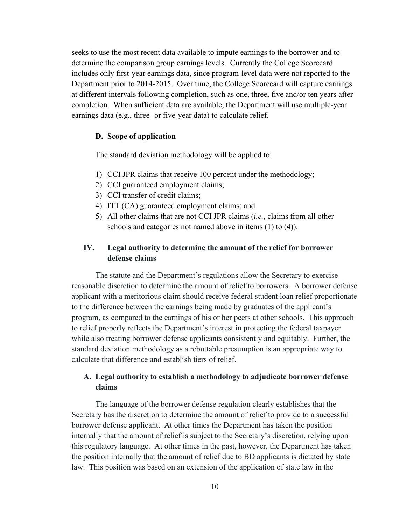seeks to use the most recent data available to impute earnings to the borrower and to determine the comparison group earnings levels. Currently the College Scorecard includes only first-year earnings data, since program-level data were not reported to the Department prior to 2014-2015. Over time, the College Scorecard will capture earnings at different intervals following completion, such as one, three, five and/or ten years after completion. When sufficient data are available, the Department will use multiple-year earnings data (e.g., three- or five-year data) to calculate relief.

#### **D. Scope of application**

The standard deviation methodology will be applied to:

- 1) CCI JPR claims that receive 100 percent under the methodology;
- 2) CCI guaranteed employment claims;
- 3) CCI transfer of credit claims;
- 4) ITT (CA) guaranteed employment claims; and
- 5) All other claims that are not CCI JPR claims (*i.e.*, claims from all other schools and categories not named above in items (1) to (4)).

# **IV. Legal authority to determine the amount of the relief for borrower defense claims**

The statute and the Department's regulations allow the Secretary to exercise reasonable discretion to determine the amount of relief to borrowers. A borrower defense applicant with a meritorious claim should receive federal student loan relief proportionate to the difference between the earnings being made by graduates of the applicant's program, as compared to the earnings of his or her peers at other schools. This approach to relief properly reflects the Department's interest in protecting the federal taxpayer while also treating borrower defense applicants consistently and equitably. Further, the standard deviation methodology as a rebuttable presumption is an appropriate way to calculate that difference and establish tiers of relief.

## **A. Legal authority to establish a methodology to adjudicate borrower defense claims**

The language of the borrower defense regulation clearly establishes that the Secretary has the discretion to determine the amount of relief to provide to a successful borrower defense applicant. At other times the Department has taken the position internally that the amount of relief is subject to the Secretary's discretion, relying upon this regulatory language. At other times in the past, however, the Department has taken the position internally that the amount of relief due to BD applicants is dictated by state law. This position was based on an extension of the application of state law in the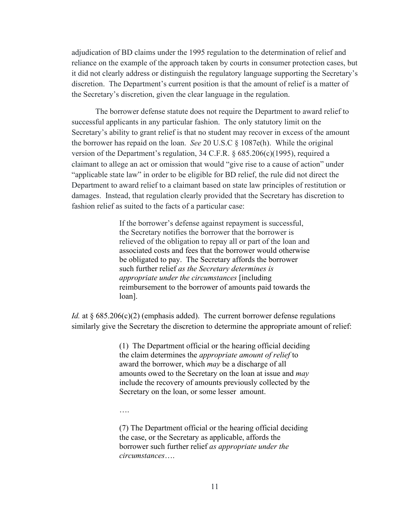adjudication of BD claims under the 1995 regulation to the determination of relief and reliance on the example of the approach taken by courts in consumer protection cases, but it did not clearly address or distinguish the regulatory language supporting the Secretary's discretion. The Department's current position is that the amount of relief is a matter of the Secretary's discretion, given the clear language in the regulation.

The borrower defense statute does not require the Department to award relief to successful applicants in any particular fashion. The only statutory limit on the Secretary's ability to grant relief is that no student may recover in excess of the amount the borrower has repaid on the loan. *See* 20 U.S.C § 1087e(h). While the original version of the Department's regulation, 34 C.F.R. § 685.206(c)(1995), required a claimant to allege an act or omission that would "give rise to a cause of action" under "applicable state law" in order to be eligible for BD relief, the rule did not direct the Department to award relief to a claimant based on state law principles of restitution or damages. Instead, that regulation clearly provided that the Secretary has discretion to fashion relief as suited to the facts of a particular case:

> If the borrower's defense against repayment is successful, the Secretary notifies the borrower that the borrower is relieved of the obligation to repay all or part of the loan and associated costs and fees that the borrower would otherwise be obligated to pay. The Secretary affords the borrower such further relief *as the Secretary determines is appropriate under the circumstances* [including reimbursement to the borrower of amounts paid towards the loan].

*Id.* at § 685.206(c)(2) (emphasis added). The current borrower defense regulations similarly give the Secretary the discretion to determine the appropriate amount of relief:

> (1) The Department official or the hearing official deciding the claim determines the *appropriate amount of relief* to award the borrower, which *may* be a discharge of all amounts owed to the Secretary on the loan at issue and *may* include the recovery of amounts previously collected by the Secretary on the loan, or some lesser amount.

….

(7) The Department official or the hearing official deciding the case, or the Secretary as applicable, affords the borrower such further relief *as appropriate under the circumstances*….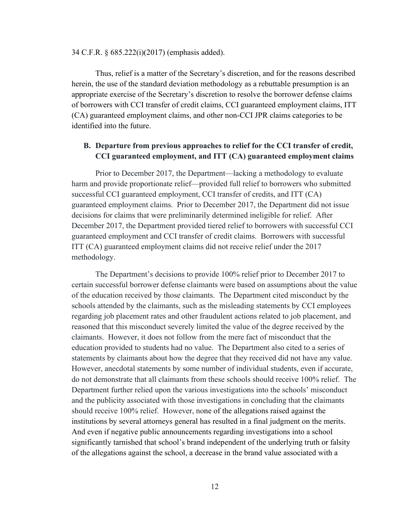#### 34 C.F.R. § 685.222(i)(2017) (emphasis added).

Thus, relief is a matter of the Secretary's discretion, and for the reasons described herein, the use of the standard deviation methodology as a rebuttable presumption is an appropriate exercise of the Secretary's discretion to resolve the borrower defense claims of borrowers with CCI transfer of credit claims, CCI guaranteed employment claims, ITT (CA) guaranteed employment claims, and other non-CCI JPR claims categories to be identified into the future.

## **B. Departure from previous approaches to relief for the CCI transfer of credit, CCI guaranteed employment, and ITT (CA) guaranteed employment claims**

Prior to December 2017, the Department—lacking a methodology to evaluate harm and provide proportionate relief—provided full relief to borrowers who submitted successful CCI guaranteed employment, CCI transfer of credits, and ITT (CA) guaranteed employment claims. Prior to December 2017, the Department did not issue decisions for claims that were preliminarily determined ineligible for relief. After December 2017, the Department provided tiered relief to borrowers with successful CCI guaranteed employment and CCI transfer of credit claims. Borrowers with successful ITT (CA) guaranteed employment claims did not receive relief under the 2017 methodology.

The Department's decisions to provide 100% relief prior to December 2017 to certain successful borrower defense claimants were based on assumptions about the value of the education received by those claimants. The Department cited misconduct by the schools attended by the claimants, such as the misleading statements by CCI employees regarding job placement rates and other fraudulent actions related to job placement, and reasoned that this misconduct severely limited the value of the degree received by the claimants. However, it does not follow from the mere fact of misconduct that the education provided to students had no value. The Department also cited to a series of statements by claimants about how the degree that they received did not have any value. However, anecdotal statements by some number of individual students, even if accurate, do not demonstrate that all claimants from these schools should receive 100% relief. The Department further relied upon the various investigations into the schools' misconduct and the publicity associated with those investigations in concluding that the claimants should receive 100% relief. However, none of the allegations raised against the institutions by several attorneys general has resulted in a final judgment on the merits. And even if negative public announcements regarding investigations into a school significantly tarnished that school's brand independent of the underlying truth or falsity of the allegations against the school, a decrease in the brand value associated with a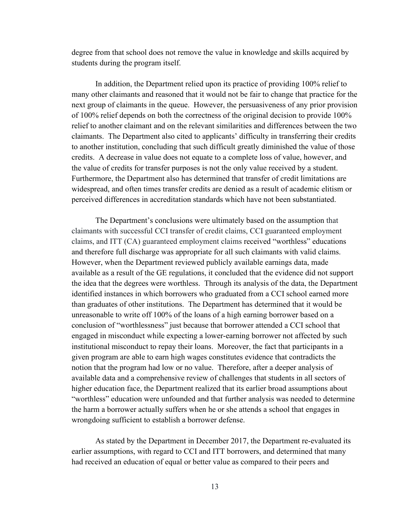degree from that school does not remove the value in knowledge and skills acquired by students during the program itself.

In addition, the Department relied upon its practice of providing 100% relief to many other claimants and reasoned that it would not be fair to change that practice for the next group of claimants in the queue. However, the persuasiveness of any prior provision of 100% relief depends on both the correctness of the original decision to provide 100% relief to another claimant and on the relevant similarities and differences between the two claimants. The Department also cited to applicants' difficulty in transferring their credits to another institution, concluding that such difficult greatly diminished the value of those credits. A decrease in value does not equate to a complete loss of value, however, and the value of credits for transfer purposes is not the only value received by a student. Furthermore, the Department also has determined that transfer of credit limitations are widespread, and often times transfer credits are denied as a result of academic elitism or perceived differences in accreditation standards which have not been substantiated.

The Department's conclusions were ultimately based on the assumption that claimants with successful CCI transfer of credit claims, CCI guaranteed employment claims, and ITT (CA) guaranteed employment claims received "worthless" educations and therefore full discharge was appropriate for all such claimants with valid claims. However, when the Department reviewed publicly available earnings data, made available as a result of the GE regulations, it concluded that the evidence did not support the idea that the degrees were worthless. Through its analysis of the data, the Department identified instances in which borrowers who graduated from a CCI school earned more than graduates of other institutions. The Department has determined that it would be unreasonable to write off 100% of the loans of a high earning borrower based on a conclusion of "worthlessness" just because that borrower attended a CCI school that engaged in misconduct while expecting a lower-earning borrower not affected by such institutional misconduct to repay their loans. Moreover, the fact that participants in a given program are able to earn high wages constitutes evidence that contradicts the notion that the program had low or no value. Therefore, after a deeper analysis of available data and a comprehensive review of challenges that students in all sectors of higher education face, the Department realized that its earlier broad assumptions about "worthless" education were unfounded and that further analysis was needed to determine the harm a borrower actually suffers when he or she attends a school that engages in wrongdoing sufficient to establish a borrower defense.

As stated by the Department in December 2017, the Department re-evaluated its earlier assumptions, with regard to CCI and ITT borrowers, and determined that many had received an education of equal or better value as compared to their peers and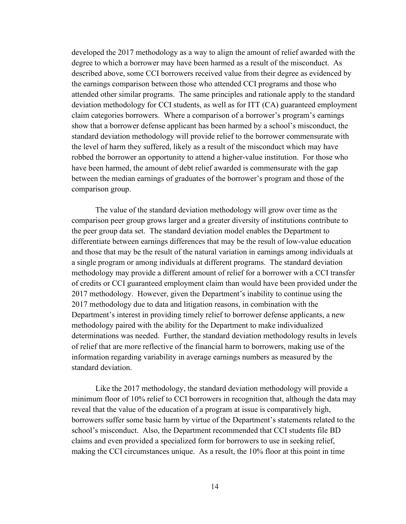developed the 2017 methodology as a way to align the amount of relief awarded with the degree to which a borrower may have been harmed as a result of the misconduct. As described above, some CCI borrowers received value from their degree as evidenced by the earnings comparison between those who attended CCI programs and those who attended other similar programs. The same principles and rationale apply to the standard deviation methodology for CCI students, as well as for ITT (CA) guaranteed employment claim categories borrowers. Where a comparison of a borrower's program's earnings show that a borrower defense applicant has been harmed by a school's misconduct, the standard deviation methodology will provide relief to the borrower commensurate with the level of harm they suffered, likely as a result of the misconduct which may have robbed the borrower an opportunity to attend a higher-value institution. For those who have been harmed, the amount of debt relief awarded is commensurate with the gap between the median earnings of graduates of the borrower's program and those of the comparison group.

The value of the standard deviation methodology will grow over time as the comparison peer group grows larger and a greater diversity of institutions contribute to the peer group data set. The standard deviation model enables the Department to differentiate between earnings differences that may be the result of low-value education and those that may be the result of the natural variation in earnings among individuals at a single program or among individuals at different programs. The standard deviation methodology may provide a different amount of relief for a borrower with a CCI transfer of credits or CCI guaranteed employment claim than would have been provided under the 2017 methodology. However, given the Department's inability to continue using the 2017 methodology due to data and litigation reasons, in combination with the Department's interest in providing timely relief to borrower defense applicants, a new methodology paired with the ability for the Department to make individualized determinations was needed. Further, the standard deviation methodology results in levels of relief that are more reflective of the financial harm to borrowers, making use of the information regarding variability in average earnings numbers as measured by the standard deviation.

Like the 2017 methodology, the standard deviation methodology will provide a minimum floor of 10% relief to CCI borrowers in recognition that, although the data may reveal that the value of the education of a program at issue is comparatively high, borrowers suffer some basic harm by virtue of the Department's statements related to the school's misconduct. Also, the Department recommended that CCI students file BD claims and even provided a specialized form for borrowers to use in seeking relief, making the CCI circumstances unique. As a result, the 10% floor at this point in time